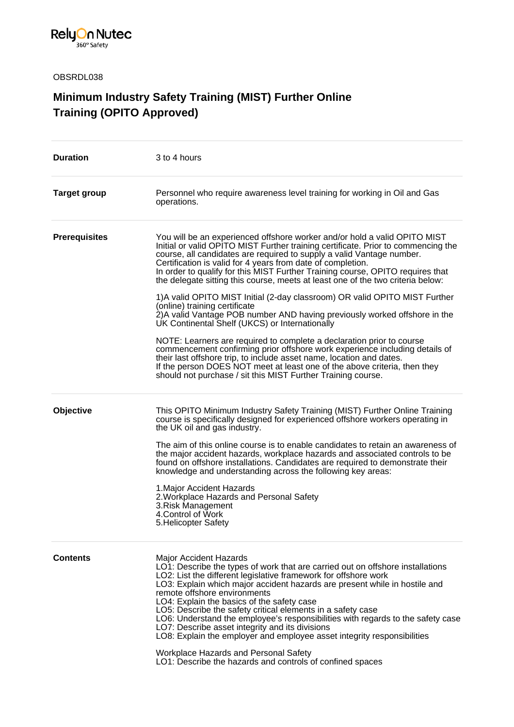

OBSRDL038

## **Minimum Industry Safety Training (MIST) Further Online Training (OPITO Approved)**

| <b>Duration</b>      | 3 to 4 hours                                                                                                                                                                                                                                                                                                                                                                                                                                                                                                                                                                                                                                                                                                                                                                                                                                                                                                                                                                                                                                                                                            |
|----------------------|---------------------------------------------------------------------------------------------------------------------------------------------------------------------------------------------------------------------------------------------------------------------------------------------------------------------------------------------------------------------------------------------------------------------------------------------------------------------------------------------------------------------------------------------------------------------------------------------------------------------------------------------------------------------------------------------------------------------------------------------------------------------------------------------------------------------------------------------------------------------------------------------------------------------------------------------------------------------------------------------------------------------------------------------------------------------------------------------------------|
| <b>Target group</b>  | Personnel who require awareness level training for working in Oil and Gas<br>operations.                                                                                                                                                                                                                                                                                                                                                                                                                                                                                                                                                                                                                                                                                                                                                                                                                                                                                                                                                                                                                |
| <b>Prerequisites</b> | You will be an experienced offshore worker and/or hold a valid OPITO MIST<br>Initial or valid OPİTO MIST Further training certificate. Prior to commencing the<br>course, all candidates are required to supply a valid Vantage number.<br>Certification is valid for 4 years from date of completion.<br>In order to qualify for this MIST Further Training course, OPITO requires that<br>the delegate sitting this course, meets at least one of the two criteria below:<br>1)A valid OPITO MIST Initial (2-day classroom) OR valid OPITO MIST Further<br>(online) training certificate<br>2) A valid Vantage POB number AND having previously worked offshore in the<br>UK Continental Shelf (UKCS) or Internationally<br>NOTE: Learners are required to complete a declaration prior to course<br>commencement confirming prior offshore work experience including details of<br>their last offshore trip, to include asset name, location and dates.<br>If the person DOES NOT meet at least one of the above criteria, then they<br>should not purchase / sit this MIST Further Training course. |
| Objective            | This OPITO Minimum Industry Safety Training (MIST) Further Online Training<br>course is specifically designed for experienced offshore workers operating in<br>the UK oil and gas industry.<br>The aim of this online course is to enable candidates to retain an awareness of<br>the major accident hazards, workplace hazards and associated controls to be<br>found on offshore installations. Candidates are required to demonstrate their<br>knowledge and understanding across the following key areas:<br>1. Major Accident Hazards<br>2. Workplace Hazards and Personal Safety<br>3. Risk Management<br>4. Control of Work<br>5. Helicopter Safety                                                                                                                                                                                                                                                                                                                                                                                                                                              |
| <b>Contents</b>      | <b>Major Accident Hazards</b><br>LO1: Describe the types of work that are carried out on offshore installations<br>LO2: List the different legislative framework for offshore work<br>LO3: Explain which major accident hazards are present while in hostile and<br>remote offshore environments<br>LO4: Explain the basics of the safety case<br>LO5: Describe the safety critical elements in a safety case<br>LO6: Understand the employee's responsibilities with regards to the safety case<br>LO7: Describe asset integrity and its divisions<br>LO8: Explain the employer and employee asset integrity responsibilities<br>Workplace Hazards and Personal Safety<br>LO1: Describe the hazards and controls of confined spaces                                                                                                                                                                                                                                                                                                                                                                    |